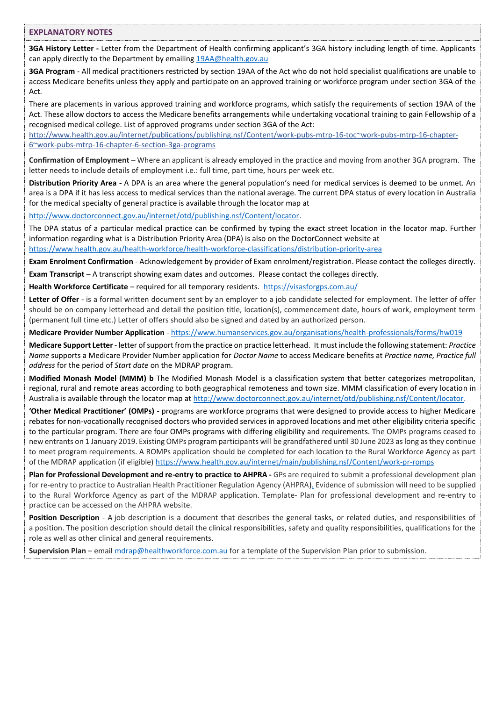## **EXPLANATORY NOTES**

**3GA History Letter -** Letter from the Department of Health confirming applicant's 3GA history including length of time. Applicants can apply directly to the Department by emailing [19AA@health.gov.au](mailto:19AA@health.gov.au) 

**3GA Program** - All medical practitioners restricted by section 19AA of the Act who do not hold specialist qualifications are unable to access Medicare benefits unless they apply and participate on an approved training or workforce program under section 3GA of the Act.

There are placements in various approved training and workforce programs, which satisfy the requirements of section 19AA of the Act. These allow doctors to access the Medicare benefits arrangements while undertaking vocational training to gain Fellowship of a recognised medical college. List of approved programs under section 3GA of the Act:

[http://www.health.gov.au/internet/publications/publishing.nsf/Content/work-pubs-mtrp-16-toc~work-pubs-mtrp-16-chapter-](http://www.health.gov.au/internet/publications/publishing.nsf/Content/work-pubs-mtrp-16-toc~work-pubs-mtrp-16-chapter-6~work-pubs-mtrp-16-chapter-6-section-3ga-programs)[6~work-pubs-mtrp-16-chapter-6-section-3ga-programs](http://www.health.gov.au/internet/publications/publishing.nsf/Content/work-pubs-mtrp-16-toc~work-pubs-mtrp-16-chapter-6~work-pubs-mtrp-16-chapter-6-section-3ga-programs)

**Confirmation of Employment** – Where an applicant is already employed in the practice and moving from another 3GA program. The letter needs to include details of employment i.e.: full time, part time, hours per week etc.

**Distribution Priority Area -** A DPA is an area where the general population's need for medical services is deemed to be unmet. An area is a DPA if it has less access to medical services than the national average. The current DPA status of every location in Australia for the medical specialty of general practice is available through the locator map at

[http://www.doctorconnect.gov.au/internet/otd/publishing.nsf/Content/locator.](http://www.doctorconnect.gov.au/internet/otd/publishing.nsf/Content/locator) 

The DPA status of a particular medical practice can be confirmed by typing the exact street location in the locator map. Further information regarding what is a Distribution Priority Area (DPA) is also on the DoctorConnect website at <https://www.health.gov.au/health-workforce/health-workforce-classifications/distribution-priority-area>

**Exam Enrolment Confirmation** - Acknowledgement by provider of Exam enrolment/registration. Please contact the colleges directly.

**Exam Transcript** – A transcript showing exam dates and outcomes. Please contact the colleges directly.

**Health Workforce Certificate** – required for all temporary residents. <https://visasforgps.com.au/>

**Letter of Offer** - is a formal written document sent by an employer to a job candidate selected for employment. The letter of offer should be on company letterhead and detail the position title, location(s), commencement date, hours of work, employment term (permanent full time etc.) Letter of offers should also be signed and dated by an authorized person.

**Medicare Provider Number Application** - <https://www.humanservices.gov.au/organisations/health-professionals/forms/hw019>

**Medicare Support Letter**- letter of support from the practice on practice letterhead. It must include the following statement: *Practice Name* supports a Medicare Provider Number application for *Doctor Name* to access Medicare benefits at *Practice name, Practice full address* for the period of *Start date* on the MDRAP program.

**Modified Monash Model (MMM) b** The Modified Monash Model is a classification system that better categorizes metropolitan, regional, rural and remote areas according to both geographical remoteness and town size. MMM classification of every location in Australia is available through the locator map at [http://www.doctorconnect.gov.au/internet/otd/publishing.nsf/Content/locator.](http://www.doctorconnect.gov.au/internet/otd/publishing.nsf/Content/locator)

**'Other Medical Practitioner' (OMPs)** - programs are workforce programs that were designed to provide access to higher Medicare rebates for non-vocationally recognised doctors who provided services in approved locations and met other eligibility criteria specific to the particular program. There are four OMPs programs with differing eligibility and requirements. The OMPs programs ceased to new entrants on 1 January 2019. Existing OMPs program participants will be grandfathered until 30 June 2023 as long as they continue to meet program requirements. A ROMPs application should be completed for each location to the Rural Workforce Agency as part of the MDRAP application (if eligible)<https://www.health.gov.au/internet/main/publishing.nsf/Content/work-pr-romps>

**Plan for Professional Development and re-entry to practice to AHPRA -** GPs are required to submit a professional development plan for re-entry to practice to Australian Health Practitioner Regulation Agency (AHPRA[\).](https://www.psychologyboard.gov.au/documents/default.aspx?record=WD16%2f19998&dbid=AP&chksum=u46Mj0iQ6akuYJxWYs9YVw%3d%3d) Evidence of submission will need to be supplied to the Rural Workforce Agency as part of the MDRAP application. Template- Plan for professional development and re-entry to practice can be accessed on the AHPRA website.

**Position Description** - A job description is a document that describes the general tasks, or related duties, and responsibilities of a position. The position description should detail the clinical responsibilities, safety and quality responsibilities, qualifications for the role as well as other clinical and general requirements.

**Supervision Plan** – emai[l mdrap@healthworkforce.com.au](mailto:mdrap@healthworkforce.com.au) for a template of the Supervision Plan prior to submission.